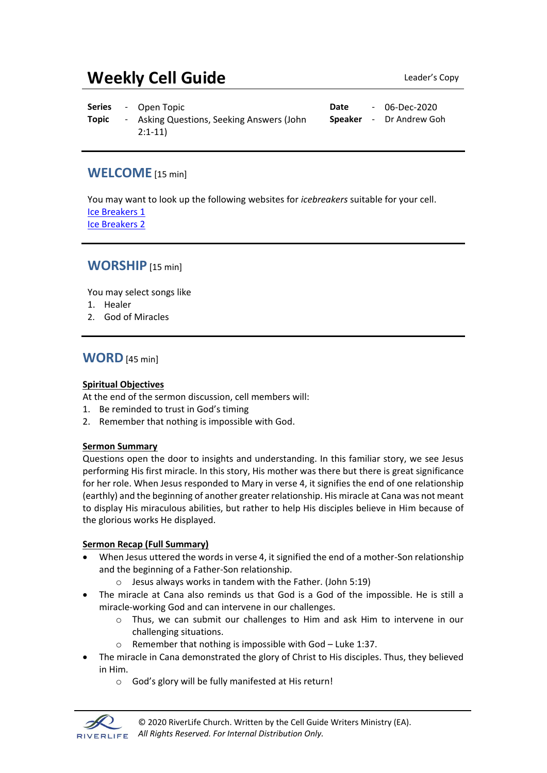# **Weekly Cell Guide Leader's Copy**

|              | <b>Series</b> - Open Topic                | Date | - 06-Dec-2020                  |
|--------------|-------------------------------------------|------|--------------------------------|
| <b>Topic</b> | - Asking Questions, Seeking Answers (John |      | <b>Speaker</b> - Dr Andrew Goh |
|              | $2:1-11$                                  |      |                                |

### **WELCOME** [15 min]

You may want to look up the following websites for *icebreakers* suitable for your cell. [Ice Breakers 1](http://www.thesource4ym.com/games/) [Ice Breakers 2](http://www.christianitytoday.com/smallgroups/articles/icebreakersbeyond.html)

## **WORSHIP** [15 min]

You may select songs like

- 1. Healer
- 2. God of Miracles

## **WORD**[45 min]

#### **Spiritual Objectives**

At the end of the sermon discussion, cell members will:

- 1. Be reminded to trust in God's timing
- 2. Remember that nothing is impossible with God.

#### **Sermon Summary**

Questions open the door to insights and understanding. In this familiar story, we see Jesus performing His first miracle. In this story, His mother was there but there is great significance for her role. When Jesus responded to Mary in verse 4, it signifies the end of one relationship (earthly) and the beginning of another greater relationship. His miracle at Cana was not meant to display His miraculous abilities, but rather to help His disciples believe in Him because of the glorious works He displayed.

#### **Sermon Recap (Full Summary)**

- When Jesus uttered the words in verse 4, it signified the end of a mother-Son relationship and the beginning of a Father-Son relationship.
	- o Jesus always works in tandem with the Father. (John 5:19)
- The miracle at Cana also reminds us that God is a God of the impossible. He is still a miracle-working God and can intervene in our challenges.
	- o Thus, we can submit our challenges to Him and ask Him to intervene in our challenging situations.
	- o Remember that nothing is impossible with God Luke 1:37.
- The miracle in Cana demonstrated the glory of Christ to His disciples. Thus, they believed in Him.
	- o God's glory will be fully manifested at His return!

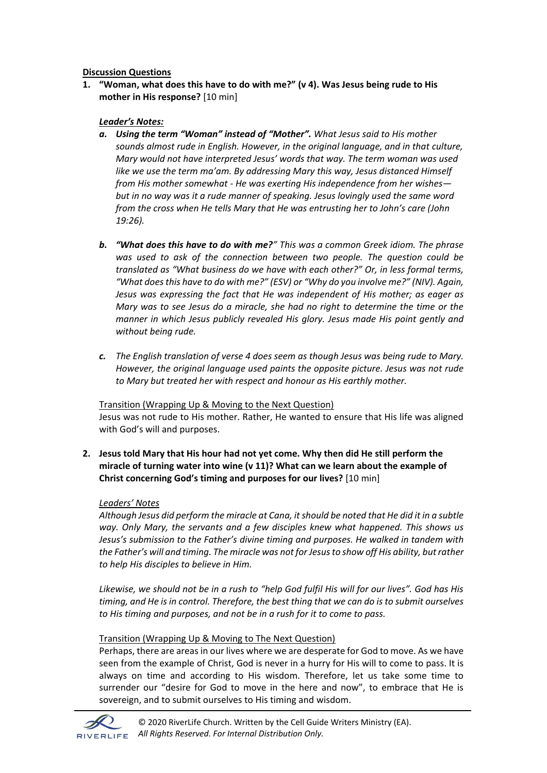#### **Discussion Questions**

**1. "Woman, what does this have to do with me?" (v 4). Was Jesus being rude to His mother in His response?** [10 min]

#### *Leader's Notes:*

- *a. Using the term "Woman" instead of "Mother". What Jesus said to His mother sounds almost rude in English. However, in the original language, and in that culture, Mary would not have interpreted Jesus' words that way. The term woman was used like we use the term ma'am. By addressing Mary this way, Jesus distanced Himself from His mother somewhat - He was exerting His independence from her wishes but in no way was it a rude manner of speaking. Jesus lovingly used the same word from the cross when He tells Mary that He was entrusting her to John's care (John 19:26).*
- *b. "What does this have to do with me?" This was a common Greek idiom. The phrase was used to ask of the connection between two people. The question could be translated as "What business do we have with each other?" Or, in less formal terms, "What does this have to do with me?" (ESV) or "Why do you involve me?" (NIV). Again, Jesus was expressing the fact that He was independent of His mother; as eager as Mary was to see Jesus do a miracle, she had no right to determine the time or the manner in which Jesus publicly revealed His glory. Jesus made His point gently and without being rude.*
- *c. The English translation of verse 4 does seem as though Jesus was being rude to Mary. However, the original language used paints the opposite picture. Jesus was not rude to Mary but treated her with respect and honour as His earthly mother.*

#### Transition (Wrapping Up & Moving to the Next Question)

Jesus was not rude to His mother. Rather, He wanted to ensure that His life was aligned with God's will and purposes.

**2. Jesus told Mary that His hour had not yet come. Why then did He still perform the miracle of turning water into wine (v 11)? What can we learn about the example of Christ concerning God's timing and purposes for our lives?** [10 min]

#### *Leaders' Notes*

*Although Jesus did perform the miracle at Cana, it should be noted that He did it in a subtle way. Only Mary, the servants and a few disciples knew what happened. This shows us Jesus's submission to the Father's divine timing and purposes. He walked in tandem with the Father's will and timing. The miracle was not for Jesus to show off His ability, but rather to help His disciples to believe in Him.*

*Likewise, we should not be in a rush to "help God fulfil His will for our lives". God has His timing, and He is in control. Therefore, the best thing that we can do is to submit ourselves to His timing and purposes, and not be in a rush for it to come to pass.* 

#### Transition (Wrapping Up & Moving to The Next Question)

Perhaps, there are areas in our lives where we are desperate for God to move. As we have seen from the example of Christ, God is never in a hurry for His will to come to pass. It is always on time and according to His wisdom. Therefore, let us take some time to surrender our "desire for God to move in the here and now", to embrace that He is sovereign, and to submit ourselves to His timing and wisdom.